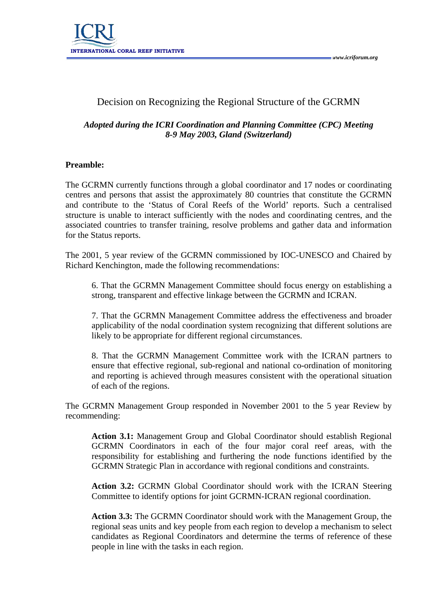

# Decision on Recognizing the Regional Structure of the GCRMN

## *Adopted during the ICRI Coordination and Planning Committee (CPC) Meeting 8-9 May 2003, Gland (Switzerland)*

#### **Preamble:**

The GCRMN currently functions through a global coordinator and 17 nodes or coordinating centres and persons that assist the approximately 80 countries that constitute the GCRMN and contribute to the 'Status of Coral Reefs of the World' reports. Such a centralised structure is unable to interact sufficiently with the nodes and coordinating centres, and the associated countries to transfer training, resolve problems and gather data and information for the Status reports.

The 2001, 5 year review of the GCRMN commissioned by IOC-UNESCO and Chaired by Richard Kenchington, made the following recommendations:

6. That the GCRMN Management Committee should focus energy on establishing a strong, transparent and effective linkage between the GCRMN and ICRAN.

7. That the GCRMN Management Committee address the effectiveness and broader applicability of the nodal coordination system recognizing that different solutions are likely to be appropriate for different regional circumstances.

8. That the GCRMN Management Committee work with the ICRAN partners to ensure that effective regional, sub-regional and national co-ordination of monitoring and reporting is achieved through measures consistent with the operational situation of each of the regions.

The GCRMN Management Group responded in November 2001 to the 5 year Review by recommending:

**Action 3.1:** Management Group and Global Coordinator should establish Regional GCRMN Coordinators in each of the four major coral reef areas, with the responsibility for establishing and furthering the node functions identified by the GCRMN Strategic Plan in accordance with regional conditions and constraints.

**Action 3.2:** GCRMN Global Coordinator should work with the ICRAN Steering Committee to identify options for joint GCRMN-ICRAN regional coordination.

**Action 3.3:** The GCRMN Coordinator should work with the Management Group, the regional seas units and key people from each region to develop a mechanism to select candidates as Regional Coordinators and determine the terms of reference of these people in line with the tasks in each region.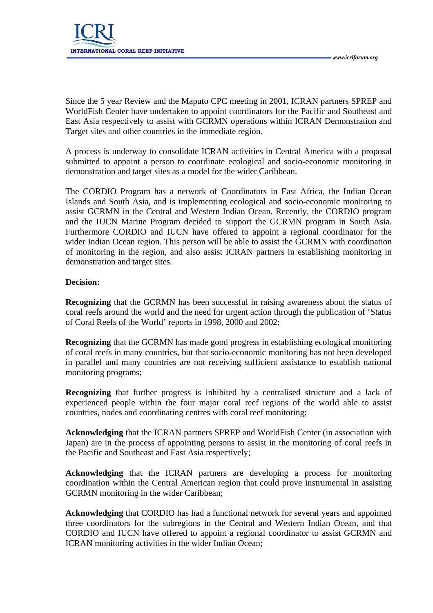

Since the 5 year Review and the Maputo CPC meeting in 2001, ICRAN partners SPREP and WorldFish Center have undertaken to appoint coordinators for the Pacific and Southeast and East Asia respectively to assist with GCRMN operations within ICRAN Demonstration and Target sites and other countries in the immediate region.

A process is underway to consolidate ICRAN activities in Central America with a proposal submitted to appoint a person to coordinate ecological and socio-economic monitoring in demonstration and target sites as a model for the wider Caribbean.

The CORDIO Program has a network of Coordinators in East Africa, the Indian Ocean Islands and South Asia, and is implementing ecological and socio-economic monitoring to assist GCRMN in the Central and Western Indian Ocean. Recently, the CORDIO program and the IUCN Marine Program decided to support the GCRMN program in South Asia. Furthermore CORDIO and IUCN have offered to appoint a regional coordinator for the wider Indian Ocean region. This person will be able to assist the GCRMN with coordination of monitoring in the region, and also assist ICRAN partners in establishing monitoring in demonstration and target sites.

### **Decision:**

**Recognizing** that the GCRMN has been successful in raising awareness about the status of coral reefs around the world and the need for urgent action through the publication of 'Status of Coral Reefs of the World' reports in 1998, 2000 and 2002;

**Recognizing** that the GCRMN has made good progress in establishing ecological monitoring of coral reefs in many countries, but that socio-economic monitoring has not been developed in parallel and many countries are not receiving sufficient assistance to establish national monitoring programs;

**Recognizing** that further progress is inhibited by a centralised structure and a lack of experienced people within the four major coral reef regions of the world able to assist countries, nodes and coordinating centres with coral reef monitoring;

**Acknowledging** that the ICRAN partners SPREP and WorldFish Center (in association with Japan) are in the process of appointing persons to assist in the monitoring of coral reefs in the Pacific and Southeast and East Asia respectively;

**Acknowledging** that the ICRAN partners are developing a process for monitoring coordination within the Central American region that could prove instrumental in assisting GCRMN monitoring in the wider Caribbean;

**Acknowledging** that CORDIO has had a functional network for several years and appointed three coordinators for the subregions in the Central and Western Indian Ocean, and that CORDIO and IUCN have offered to appoint a regional coordinator to assist GCRMN and ICRAN monitoring activities in the wider Indian Ocean;